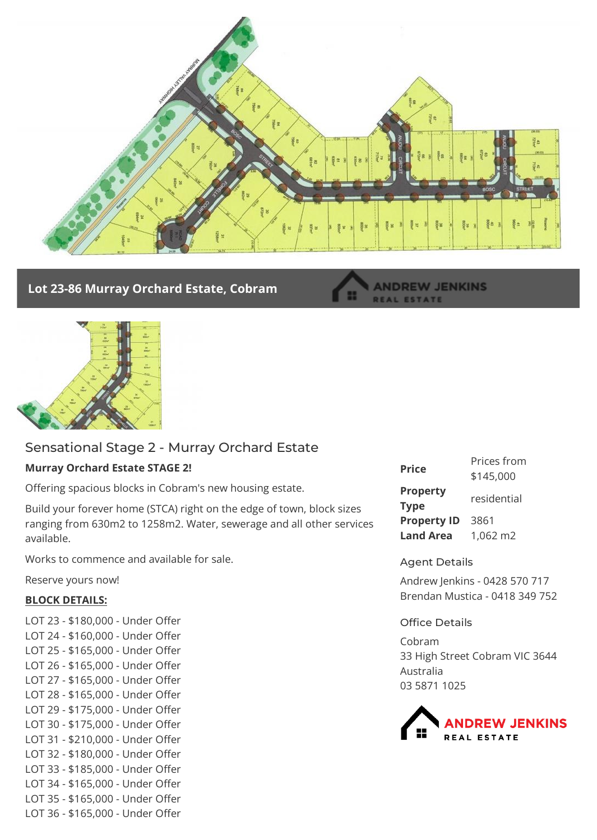

## **Lot 23-86 Murray Orchard Estate, Cobram**

#### **ANDREW JENKINS REAL ESTATE**



# Sensational Stage 2 - Murray Orchard Estate

## **Murray Orchard Estate STAGE 2!**

Offering spacious blocks in Cobram's new housing estate.

Build your forever home (STCA) right on the edge of town, block sizes ranging from 630m2 to 1258m2. Water, sewerage and all other services available.

Works to commence and available for sale.

Reserve yours now!

## **BLOCK DETAILS:**

LOT 23 - \$180,000 - Under Offer LOT 24 - \$160,000 - Under Offer LOT 25 - \$165,000 - Under Offer LOT 26 - \$165,000 - Under Offer LOT 27 - \$165,000 - Under Offer LOT 28 - \$165,000 - Under Offer LOT 29 - \$175,000 - Under Offer LOT 30 - \$175,000 - Under Offer LOT 31 - \$210,000 - Under Offer LOT 32 - \$180,000 - Under Offer LOT 33 - \$185,000 - Under Offer LOT 34 - \$165,000 - Under Offer LOT 35 - \$165,000 - Under Offer LOT 36 - \$165,000 - Under Offer

| <b>Price</b>                   | Prices from<br>\$145,000 |
|--------------------------------|--------------------------|
| <b>Property</b><br><b>Type</b> | residential              |
| <b>Property ID</b>             | 3861                     |
| <b>Land Area</b>               | 1,062 m2                 |

### Agent Details

Andrew Jenkins - 0428 570 717 Brendan Mustica - 0418 349 752

### Office Details

Cobram 33 High Street Cobram VIC 3644 Australia 03 5871 1025